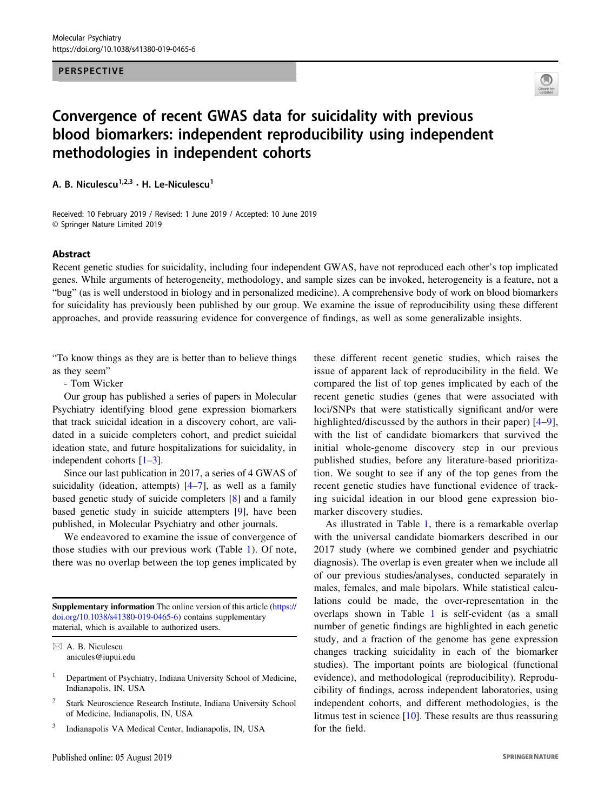#### PERSPECTIVE



# Convergence of recent GWAS data for suicidality with previous blood biomarkers: independent reproducibility using independent methodologies in independent cohorts

A. B. Niculescu<sup>1,2,3</sup> · H. Le-Niculescu<sup>1</sup>

Received: 10 February 2019 / Revised: 1 June 2019 / Accepted: 10 June 2019 © Springer Nature Limited 2019

#### Abstract

Recent genetic studies for suicidality, including four independent GWAS, have not reproduced each other's top implicated genes. While arguments of heterogeneity, methodology, and sample sizes can be invoked, heterogeneity is a feature, not a "bug" (as is well understood in biology and in personalized medicine). A comprehensive body of work on blood biomarkers for suicidality has previously been published by our group. We examine the issue of reproducibility using these different approaches, and provide reassuring evidence for convergence of findings, as well as some generalizable insights.

"To know things as they are is better than to believe things as they seem"

- Tom Wicker

Our group has published a series of papers in Molecular Psychiatry identifying blood gene expression biomarkers that track suicidal ideation in a discovery cohort, are validated in a suicide completers cohort, and predict suicidal ideation state, and future hospitalizations for suicidality, in independent cohorts [\[1](#page-2-0)–[3](#page-2-0)].

Since our last publication in 2017, a series of 4 GWAS of suicidality (ideation, attempts)  $[4-7]$  $[4-7]$  $[4-7]$  $[4-7]$ , as well as a family based genetic study of suicide completers [\[8](#page-2-0)] and a family based genetic study in suicide attempters [[9\]](#page-2-0), have been published, in Molecular Psychiatry and other journals.

We endeavored to examine the issue of convergence of those studies with our previous work (Table [1](#page-1-0)). Of note, there was no overlap between the top genes implicated by

Supplementary information The online version of this article ([https://](https://doi.org/10.1038/s41380-019-0465-6) [doi.org/10.1038/s41380-019-0465-6\)](https://doi.org/10.1038/s41380-019-0465-6) contains supplementary material, which is available to authorized users.

- <sup>2</sup> Stark Neuroscience Research Institute, Indiana University School of Medicine, Indianapolis, IN, USA
- <sup>3</sup> Indianapolis VA Medical Center, Indianapolis, IN, USA

these different recent genetic studies, which raises the issue of apparent lack of reproducibility in the field. We compared the list of top genes implicated by each of the recent genetic studies (genes that were associated with loci/SNPs that were statistically significant and/or were highlighted/discussed by the authors in their paper) [[4](#page-2-0)–[9](#page-2-0)], with the list of candidate biomarkers that survived the initial whole-genome discovery step in our previous published studies, before any literature-based prioritization. We sought to see if any of the top genes from the recent genetic studies have functional evidence of tracking suicidal ideation in our blood gene expression biomarker discovery studies.

As illustrated in Table [1](#page-1-0), there is a remarkable overlap with the universal candidate biomarkers described in our 2017 study (where we combined gender and psychiatric diagnosis). The overlap is even greater when we include all of our previous studies/analyses, conducted separately in males, females, and male bipolars. While statistical calculations could be made, the over-representation in the overlaps shown in Table [1](#page-1-0) is self-evident (as a small number of genetic findings are highlighted in each genetic study, and a fraction of the genome has gene expression changes tracking suicidality in each of the biomarker studies). The important points are biological (functional evidence), and methodological (reproducibility). Reproducibility of findings, across independent laboratories, using independent cohorts, and different methodologies, is the litmus test in science [[10\]](#page-2-0). These results are thus reassuring for the field.

 $\boxtimes$  A. B. Niculescu [anicules@iupui.edu](mailto:anicules@iupui.edu)

<sup>1</sup> Department of Psychiatry, Indiana University School of Medicine, Indianapolis, IN, USA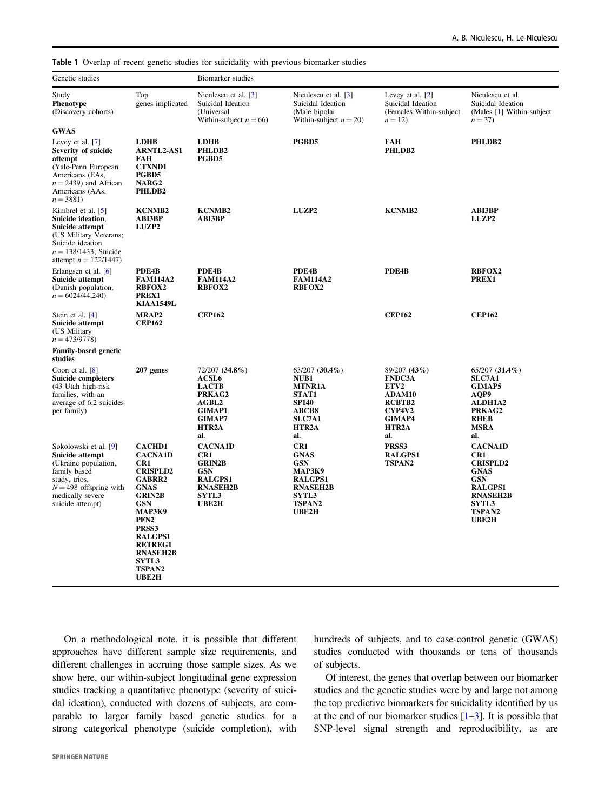<span id="page-1-0"></span>Table 1 Overlap of recent genetic studies for suicidality with previous biomarker studies

| Genetic studies                                                                                                                                                       |                                                                                                                                                                                                                                                                              | <b>Biomarker</b> studies                                                                                                              |                                                                                                                                       |                                                                                                      |                                                                                                                                               |
|-----------------------------------------------------------------------------------------------------------------------------------------------------------------------|------------------------------------------------------------------------------------------------------------------------------------------------------------------------------------------------------------------------------------------------------------------------------|---------------------------------------------------------------------------------------------------------------------------------------|---------------------------------------------------------------------------------------------------------------------------------------|------------------------------------------------------------------------------------------------------|-----------------------------------------------------------------------------------------------------------------------------------------------|
| Study<br>Phenotype<br>(Discovery cohorts)                                                                                                                             | Top<br>genes implicated                                                                                                                                                                                                                                                      | Niculescu et al. [3]<br>Suicidal Ideation<br>(Universal<br>Within-subject $n = 66$ )                                                  | Niculescu et al. [3]<br>Suicidal Ideation<br>(Male bipolar<br>Within-subject $n = 20$ )                                               | Levey et al. $[2]$<br>Suicidal Ideation<br>(Females Within-subject)<br>$n = 12$                      | Niculescu et al.<br>Suicidal Ideation<br>(Males [1] Within-subject<br>$n = 37$                                                                |
| <b>GWAS</b>                                                                                                                                                           |                                                                                                                                                                                                                                                                              |                                                                                                                                       |                                                                                                                                       |                                                                                                      |                                                                                                                                               |
| Levey et al. [7]<br>Severity of suicide<br>attempt<br>(Yale-Penn European<br>Americans (EAs,<br>$n = 2439$ and African<br>Americans (AAs,<br>$n = 3881$               | <b>LDHB</b><br><b>ARNTL2-AS1</b><br>FAH<br><b>CTXND1</b><br>PGBD5<br>NARG <sub>2</sub><br>PHLDB2                                                                                                                                                                             | <b>LDHB</b><br>PHLDB2<br>PGBD5                                                                                                        | PGBD5                                                                                                                                 | FAH<br>PHLDB2                                                                                        | PHLDB2                                                                                                                                        |
| Kimbrel et al. [5]<br>Suicide ideation,<br>Suicide attempt<br>(US Military Veterans;<br>Suicide ideation<br>$n = 138/1433$ ; Suicide<br>attempt $n = 122/1447$        | <b>KCNMB2</b><br><b>ABI3BP</b><br><b>LUZP2</b>                                                                                                                                                                                                                               | <b>KCNMB2</b><br><b>ABI3BP</b>                                                                                                        | LUZP2                                                                                                                                 | <b>KCNMB2</b>                                                                                        | <b>ABI3BP</b><br>LUZP2                                                                                                                        |
| Erlangsen et al. [6]<br>Suicide attempt<br>(Danish population,<br>$n = 6024/44,240$                                                                                   | PDE4B<br><b>FAM114A2</b><br><b>RBFOX2</b><br>PREX1<br><b>KIAA1549L</b>                                                                                                                                                                                                       | PDE4B<br><b>FAM114A2</b><br><b>RBFOX2</b>                                                                                             | PDE4B<br><b>FAM114A2</b><br><b>RBFOX2</b>                                                                                             | PDE4B                                                                                                | <b>RBFOX2</b><br>PREX1                                                                                                                        |
| Stein et al. [4]<br>Suicide attempt<br>(US Military<br>$n = 473/9778$                                                                                                 | <b>MRAP2</b><br><b>CEP162</b>                                                                                                                                                                                                                                                | <b>CEP162</b>                                                                                                                         |                                                                                                                                       | <b>CEP162</b>                                                                                        | <b>CEP162</b>                                                                                                                                 |
| <b>Family-based genetic</b><br>studies                                                                                                                                |                                                                                                                                                                                                                                                                              |                                                                                                                                       |                                                                                                                                       |                                                                                                      |                                                                                                                                               |
| Coon et al. $[8]$<br><b>Suicide completers</b><br>(43 Utah high-risk<br>families, with an<br>average of 6.2 suicides<br>per family)                                   | 207 genes                                                                                                                                                                                                                                                                    | 72/207 (34.8%)<br>ACSL <sub>6</sub><br><b>LACTB</b><br>PRKAG2<br>AGBL2<br><b>GIMAP1</b><br><b>GIMAP7</b><br>HTR <sub>2</sub> A<br>al. | $63/207$ $(30.4\%)$<br>NUB1<br><b>MTNR1A</b><br>STAT1<br><b>SP140</b><br><b>ABCB8</b><br><b>SLC7A1</b><br>HTR <sub>2</sub> A<br>al.   | 89/207 (43%)<br><b>FNDC3A</b><br>ETV2<br>ADAM10<br>RCBTB2<br>CYP4V2<br><b>GIMAP4</b><br>HTR2A<br>al. | $65/207$ $(31.4\%)$<br><b>SLC7A1</b><br><b>GIMAP5</b><br>AOP9<br><b>ALDH1A2</b><br>PRKAG2<br><b>RHEB</b><br><b>MSRA</b><br>al.                |
| Sokolowski et al. [9]<br>Suicide attempt<br>(Ukraine population,<br>family based<br>study, trios,<br>$N = 498$ offspring with<br>medically severe<br>suicide attempt) | <b>CACHD1</b><br><b>CACNA1D</b><br>CR <sub>1</sub><br><b>CRISPLD2</b><br><b>GABRR2</b><br><b>GNAS</b><br><b>GRIN2B</b><br><b>GSN</b><br>МАРЗК9<br>PFN <sub>2</sub><br>PRSS3<br><b>RALGPS1</b><br><b>RETREG1</b><br><b>RNASEH2B</b><br><b>SYTL3</b><br><b>TSPAN2</b><br>UBE2H | <b>CACNA1D</b><br>CR1<br><b>GRIN2B</b><br>GSN<br><b>RALGPS1</b><br><b>RNASEH2B</b><br><b>SYTL3</b><br>UBE2H                           | CR <sub>1</sub><br><b>GNAS</b><br><b>GSN</b><br>МАРЗК9<br><b>RALGPS1</b><br><b>RNASEH2B</b><br><b>SYTL3</b><br><b>TSPAN2</b><br>UBE2H | PRSS3<br><b>RALGPS1</b><br><b>TSPAN2</b>                                                             | <b>CACNA1D</b><br>CR1<br><b>CRISPLD2</b><br><b>GNAS</b><br><b>GSN</b><br><b>RALGPS1</b><br><b>RNASEH2B</b><br><b>SYTL3</b><br>TSPAN2<br>UBE2H |

On a methodological note, it is possible that different approaches have different sample size requirements, and different challenges in accruing those sample sizes. As we show here, our within-subject longitudinal gene expression studies tracking a quantitative phenotype (severity of suicidal ideation), conducted with dozens of subjects, are comparable to larger family based genetic studies for a strong categorical phenotype (suicide completion), with hundreds of subjects, and to case-control genetic (GWAS) studies conducted with thousands or tens of thousands of subjects.

Of interest, the genes that overlap between our biomarker studies and the genetic studies were by and large not among the top predictive biomarkers for suicidality identified by us at the end of our biomarker studies  $[1-3]$  $[1-3]$  $[1-3]$  $[1-3]$ . It is possible that SNP-level signal strength and reproducibility, as are